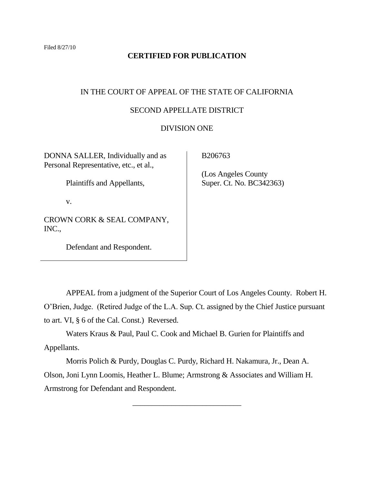# **CERTIFIED FOR PUBLICATION**

# IN THE COURT OF APPEAL OF THE STATE OF CALIFORNIA

## SECOND APPELLATE DISTRICT

### DIVISION ONE

DONNA SALLER, Individually and as Personal Representative, etc., et al.,

Plaintiffs and Appellants,

v.

CROWN CORK & SEAL COMPANY, INC.,

Defendant and Respondent.

B206763

 (Los Angeles County Super. Ct. No. BC342363)

APPEAL from a judgment of the Superior Court of Los Angeles County. Robert H. O"Brien, Judge. (Retired Judge of the L.A. Sup. Ct. assigned by the Chief Justice pursuant to art. VI, § 6 of the Cal. Const.) Reversed.

Waters Kraus & Paul, Paul C. Cook and Michael B. Gurien for Plaintiffs and Appellants.

Morris Polich & Purdy, Douglas C. Purdy, Richard H. Nakamura, Jr., Dean A. Olson, Joni Lynn Loomis, Heather L. Blume; Armstrong & Associates and William H. Armstrong for Defendant and Respondent.

\_\_\_\_\_\_\_\_\_\_\_\_\_\_\_\_\_\_\_\_\_\_\_\_\_\_\_\_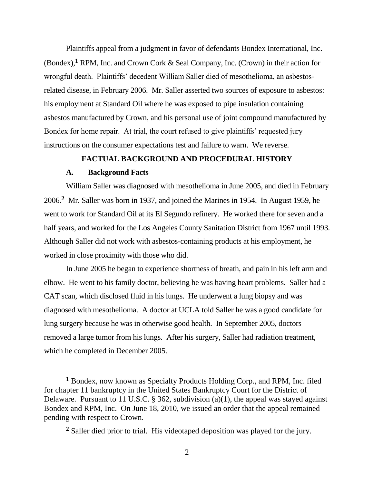Plaintiffs appeal from a judgment in favor of defendants Bondex International, Inc. (Bondex),**<sup>1</sup>** RPM, Inc. and Crown Cork & Seal Company, Inc. (Crown) in their action for wrongful death. Plaintiffs" decedent William Saller died of mesothelioma, an asbestosrelated disease, in February 2006. Mr. Saller asserted two sources of exposure to asbestos: his employment at Standard Oil where he was exposed to pipe insulation containing asbestos manufactured by Crown, and his personal use of joint compound manufactured by Bondex for home repair. At trial, the court refused to give plaintiffs' requested jury instructions on the consumer expectations test and failure to warn. We reverse.

# **FACTUAL BACKGROUND AND PROCEDURAL HISTORY**

## **A. Background Facts**

William Saller was diagnosed with mesothelioma in June 2005, and died in February 2006.**<sup>2</sup>** Mr. Saller was born in 1937, and joined the Marines in 1954. In August 1959, he went to work for Standard Oil at its El Segundo refinery. He worked there for seven and a half years, and worked for the Los Angeles County Sanitation District from 1967 until 1993. Although Saller did not work with asbestos-containing products at his employment, he worked in close proximity with those who did.

In June 2005 he began to experience shortness of breath, and pain in his left arm and elbow. He went to his family doctor, believing he was having heart problems. Saller had a CAT scan, which disclosed fluid in his lungs. He underwent a lung biopsy and was diagnosed with mesothelioma. A doctor at UCLA told Saller he was a good candidate for lung surgery because he was in otherwise good health. In September 2005, doctors removed a large tumor from his lungs. After his surgery, Saller had radiation treatment, which he completed in December 2005.

**<sup>2</sup>** Saller died prior to trial. His videotaped deposition was played for the jury.

**<sup>1</sup>** Bondex, now known as Specialty Products Holding Corp., and RPM, Inc. filed for chapter 11 bankruptcy in the United States Bankruptcy Court for the District of Delaware. Pursuant to 11 U.S.C. § 362, subdivision (a)(1), the appeal was stayed against Bondex and RPM, Inc. On June 18, 2010, we issued an order that the appeal remained pending with respect to Crown.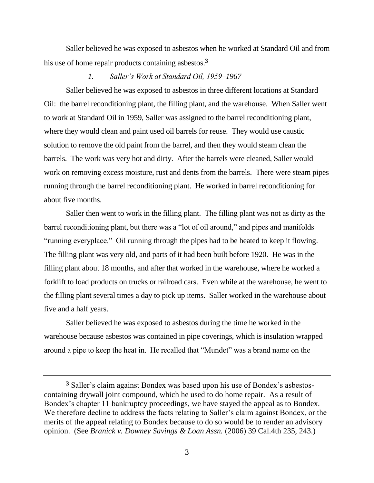Saller believed he was exposed to asbestos when he worked at Standard Oil and from his use of home repair products containing asbestos.**<sup>3</sup>**

## *1. Saller's Work at Standard Oil, 1959–1967*

Saller believed he was exposed to asbestos in three different locations at Standard Oil: the barrel reconditioning plant, the filling plant, and the warehouse. When Saller went to work at Standard Oil in 1959, Saller was assigned to the barrel reconditioning plant, where they would clean and paint used oil barrels for reuse. They would use caustic solution to remove the old paint from the barrel, and then they would steam clean the barrels. The work was very hot and dirty. After the barrels were cleaned, Saller would work on removing excess moisture, rust and dents from the barrels. There were steam pipes running through the barrel reconditioning plant. He worked in barrel reconditioning for about five months.

Saller then went to work in the filling plant. The filling plant was not as dirty as the barrel reconditioning plant, but there was a "lot of oil around," and pipes and manifolds "running everyplace." Oil running through the pipes had to be heated to keep it flowing. The filling plant was very old, and parts of it had been built before 1920. He was in the filling plant about 18 months, and after that worked in the warehouse, where he worked a forklift to load products on trucks or railroad cars. Even while at the warehouse, he went to the filling plant several times a day to pick up items. Saller worked in the warehouse about five and a half years.

Saller believed he was exposed to asbestos during the time he worked in the warehouse because asbestos was contained in pipe coverings, which is insulation wrapped around a pipe to keep the heat in. He recalled that "Mundet" was a brand name on the

<sup>&</sup>lt;sup>3</sup> Saller's claim against Bondex was based upon his use of Bondex's asbestoscontaining drywall joint compound, which he used to do home repair. As a result of Bondex"s chapter 11 bankruptcy proceedings, we have stayed the appeal as to Bondex. We therefore decline to address the facts relating to Saller's claim against Bondex, or the merits of the appeal relating to Bondex because to do so would be to render an advisory opinion. (See *Branick v. Downey Savings & Loan Assn.* (2006) 39 Cal.4th 235, 243.)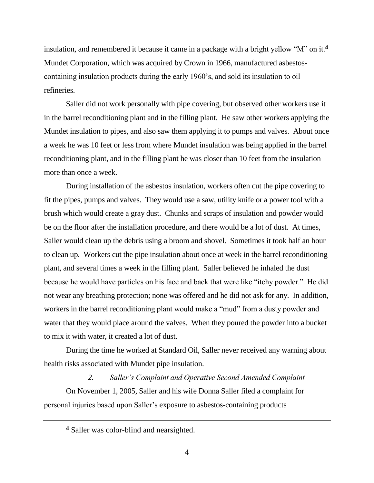insulation, and remembered it because it came in a package with a bright yellow "M" on it.**<sup>4</sup>** Mundet Corporation, which was acquired by Crown in 1966, manufactured asbestoscontaining insulation products during the early 1960"s, and sold its insulation to oil refineries.

Saller did not work personally with pipe covering, but observed other workers use it in the barrel reconditioning plant and in the filling plant. He saw other workers applying the Mundet insulation to pipes, and also saw them applying it to pumps and valves. About once a week he was 10 feet or less from where Mundet insulation was being applied in the barrel reconditioning plant, and in the filling plant he was closer than 10 feet from the insulation more than once a week.

During installation of the asbestos insulation, workers often cut the pipe covering to fit the pipes, pumps and valves. They would use a saw, utility knife or a power tool with a brush which would create a gray dust. Chunks and scraps of insulation and powder would be on the floor after the installation procedure, and there would be a lot of dust. At times, Saller would clean up the debris using a broom and shovel. Sometimes it took half an hour to clean up. Workers cut the pipe insulation about once at week in the barrel reconditioning plant, and several times a week in the filling plant. Saller believed he inhaled the dust because he would have particles on his face and back that were like "itchy powder." He did not wear any breathing protection; none was offered and he did not ask for any. In addition, workers in the barrel reconditioning plant would make a "mud" from a dusty powder and water that they would place around the valves. When they poured the powder into a bucket to mix it with water, it created a lot of dust.

During the time he worked at Standard Oil, Saller never received any warning about health risks associated with Mundet pipe insulation.

*2. Saller's Complaint and Operative Second Amended Complaint* On November 1, 2005, Saller and his wife Donna Saller filed a complaint for personal injuries based upon Saller"s exposure to asbestos-containing products

**<sup>4</sup>** Saller was color-blind and nearsighted.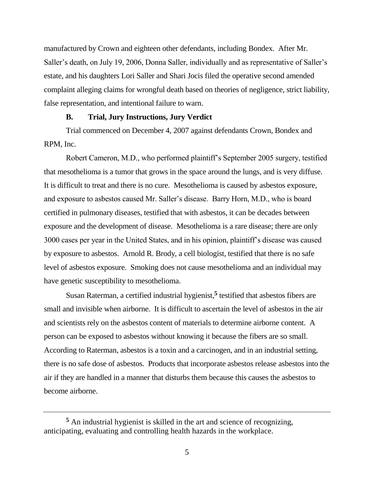manufactured by Crown and eighteen other defendants, including Bondex. After Mr. Saller's death, on July 19, 2006, Donna Saller, individually and as representative of Saller's estate, and his daughters Lori Saller and Shari Jocis filed the operative second amended complaint alleging claims for wrongful death based on theories of negligence, strict liability, false representation, and intentional failure to warn.

### **B. Trial, Jury Instructions, Jury Verdict**

Trial commenced on December 4, 2007 against defendants Crown, Bondex and RPM, Inc.

Robert Cameron, M.D., who performed plaintiff"s September 2005 surgery, testified that mesothelioma is a tumor that grows in the space around the lungs, and is very diffuse. It is difficult to treat and there is no cure. Mesothelioma is caused by asbestos exposure, and exposure to asbestos caused Mr. Saller"s disease. Barry Horn, M.D., who is board certified in pulmonary diseases, testified that with asbestos, it can be decades between exposure and the development of disease. Mesothelioma is a rare disease; there are only 3000 cases per year in the United States, and in his opinion, plaintiff"s disease was caused by exposure to asbestos. Arnold R. Brody, a cell biologist, testified that there is no safe level of asbestos exposure. Smoking does not cause mesothelioma and an individual may have genetic susceptibility to mesothelioma.

Susan Raterman, a certified industrial hygienist,**<sup>5</sup>** testified that asbestos fibers are small and invisible when airborne. It is difficult to ascertain the level of asbestos in the air and scientists rely on the asbestos content of materials to determine airborne content. A person can be exposed to asbestos without knowing it because the fibers are so small. According to Raterman, asbestos is a toxin and a carcinogen, and in an industrial setting, there is no safe dose of asbestos. Products that incorporate asbestos release asbestos into the air if they are handled in a manner that disturbs them because this causes the asbestos to become airborne.

**<sup>5</sup>** An industrial hygienist is skilled in the art and science of recognizing, anticipating, evaluating and controlling health hazards in the workplace.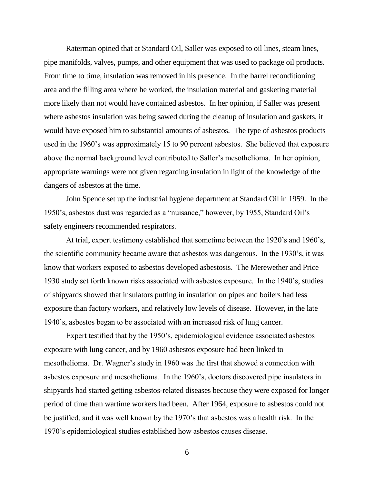Raterman opined that at Standard Oil, Saller was exposed to oil lines, steam lines, pipe manifolds, valves, pumps, and other equipment that was used to package oil products. From time to time, insulation was removed in his presence. In the barrel reconditioning area and the filling area where he worked, the insulation material and gasketing material more likely than not would have contained asbestos. In her opinion, if Saller was present where asbestos insulation was being sawed during the cleanup of insulation and gaskets, it would have exposed him to substantial amounts of asbestos. The type of asbestos products used in the 1960"s was approximately 15 to 90 percent asbestos. She believed that exposure above the normal background level contributed to Saller"s mesothelioma. In her opinion, appropriate warnings were not given regarding insulation in light of the knowledge of the dangers of asbestos at the time.

John Spence set up the industrial hygiene department at Standard Oil in 1959. In the 1950"s, asbestos dust was regarded as a "nuisance," however, by 1955, Standard Oil"s safety engineers recommended respirators.

At trial, expert testimony established that sometime between the 1920"s and 1960"s, the scientific community became aware that asbestos was dangerous. In the 1930"s, it was know that workers exposed to asbestos developed asbestosis. The Merewether and Price 1930 study set forth known risks associated with asbestos exposure. In the 1940"s, studies of shipyards showed that insulators putting in insulation on pipes and boilers had less exposure than factory workers, and relatively low levels of disease. However, in the late 1940"s, asbestos began to be associated with an increased risk of lung cancer.

Expert testified that by the 1950"s, epidemiological evidence associated asbestos exposure with lung cancer, and by 1960 asbestos exposure had been linked to mesothelioma. Dr. Wagner's study in 1960 was the first that showed a connection with asbestos exposure and mesothelioma. In the 1960"s, doctors discovered pipe insulators in shipyards had started getting asbestos-related diseases because they were exposed for longer period of time than wartime workers had been. After 1964, exposure to asbestos could not be justified, and it was well known by the 1970"s that asbestos was a health risk. In the 1970"s epidemiological studies established how asbestos causes disease.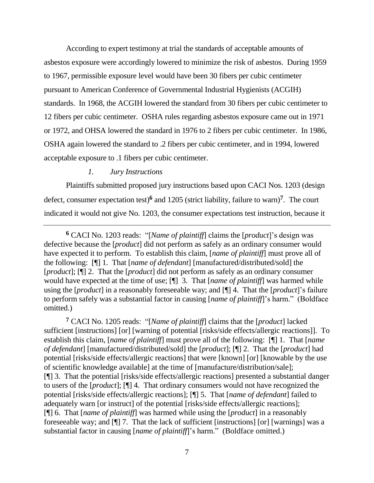According to expert testimony at trial the standards of acceptable amounts of asbestos exposure were accordingly lowered to minimize the risk of asbestos. During 1959 to 1967, permissible exposure level would have been 30 fibers per cubic centimeter pursuant to American Conference of Governmental Industrial Hygienists (ACGIH) standards. In 1968, the ACGIH lowered the standard from 30 fibers per cubic centimeter to 12 fibers per cubic centimeter. OSHA rules regarding asbestos exposure came out in 1971 or 1972, and OHSA lowered the standard in 1976 to 2 fibers per cubic centimeter. In 1986, OSHA again lowered the standard to .2 fibers per cubic centimeter, and in 1994, lowered acceptable exposure to .1 fibers per cubic centimeter.

## *1. Jury Instructions*

Plaintiffs submitted proposed jury instructions based upon CACI Nos. 1203 (design defect, consumer expectation test)**<sup>6</sup>** and 1205 (strict liability, failure to warn)**<sup>7</sup>** . The court indicated it would not give No. 1203, the consumer expectations test instruction, because it

**<sup>6</sup>** CACI No. 1203 reads: "[*Name of plaintiff*] claims the [*product*]"s design was defective because the [*product*] did not perform as safely as an ordinary consumer would have expected it to perform. To establish this claim, [*name of plaintiff*] must prove all of the following: [¶] 1. That [*name of defendant*] [manufactured/distributed/sold] the [*product*]; [¶] 2. That the [*product*] did not perform as safely as an ordinary consumer would have expected at the time of use; [¶] 3. That [*name of plaintiff*] was harmed while using the [*product*] in a reasonably foreseeable way; and [¶] 4. That the [*product*]"s failure to perform safely was a substantial factor in causing [*name of plaintiff*]"s harm." (Boldface omitted.)

**<sup>7</sup>** CACI No. 1205 reads: "[*Name of plaintiff*] claims that the [*product*] lacked sufficient [instructions] [or] [warning of potential [risks/side effects/allergic reactions]]. To establish this claim, [*name of plaintiff*] must prove all of the following: [¶] 1. That [*name of defendant*] [manufactured/distributed/sold] the [*product*]; [¶] 2. That the [*product*] had potential [risks/side effects/allergic reactions] that were [known] [or] [knowable by the use of scientific knowledge available] at the time of [manufacture/distribution/sale]; [¶] 3. That the potential [risks/side effects/allergic reactions] presented a substantial danger to users of the [*product*]; [¶] 4. That ordinary consumers would not have recognized the potential [risks/side effects/allergic reactions]; [¶] 5. That [*name of defendant*] failed to adequately warn [or instruct] of the potential [risks/side effects/allergic reactions]; [¶] 6. That [*name of plaintiff*] was harmed while using the [*product*] in a reasonably foreseeable way; and [¶] 7. That the lack of sufficient [instructions] [or] [warnings] was a substantial factor in causing [*name of plaintiff*]"s harm." (Boldface omitted.)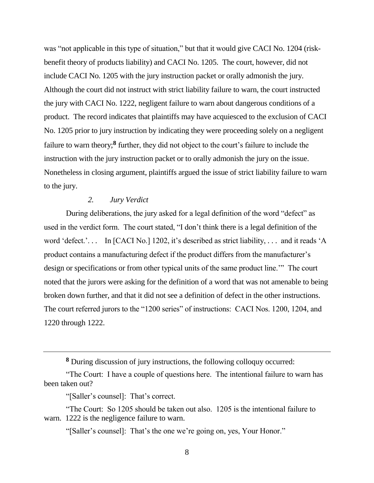was "not applicable in this type of situation," but that it would give CACI No. 1204 (riskbenefit theory of products liability) and CACI No. 1205. The court, however, did not include CACI No. 1205 with the jury instruction packet or orally admonish the jury. Although the court did not instruct with strict liability failure to warn, the court instructed the jury with CACI No. 1222, negligent failure to warn about dangerous conditions of a product. The record indicates that plaintiffs may have acquiesced to the exclusion of CACI No. 1205 prior to jury instruction by indicating they were proceeding solely on a negligent failure to warn theory;<sup>8</sup> further, they did not object to the court's failure to include the instruction with the jury instruction packet or to orally admonish the jury on the issue. Nonetheless in closing argument, plaintiffs argued the issue of strict liability failure to warn to the jury.

# *2. Jury Verdict*

During deliberations, the jury asked for a legal definition of the word "defect" as used in the verdict form. The court stated, "I don"t think there is a legal definition of the word 'defect.'... In [CACI No.] 1202, it's described as strict liability, ... and it reads 'A product contains a manufacturing defect if the product differs from the manufacturer's design or specifications or from other typical units of the same product line."" The court noted that the jurors were asking for the definition of a word that was not amenable to being broken down further, and that it did not see a definition of defect in the other instructions. The court referred jurors to the "1200 series" of instructions: CACI Nos. 1200, 1204, and 1220 through 1222.

**<sup>8</sup>** During discussion of jury instructions, the following colloquy occurred:

<sup>&</sup>quot;The Court: I have a couple of questions here. The intentional failure to warn has been taken out?

<sup>&</sup>quot;[Saller's counsel]: That's correct.

<sup>&</sup>quot;The Court: So 1205 should be taken out also. 1205 is the intentional failure to warn. 1222 is the negligence failure to warn.

<sup>&</sup>quot;[Saller's counsel]: That's the one we're going on, yes, Your Honor."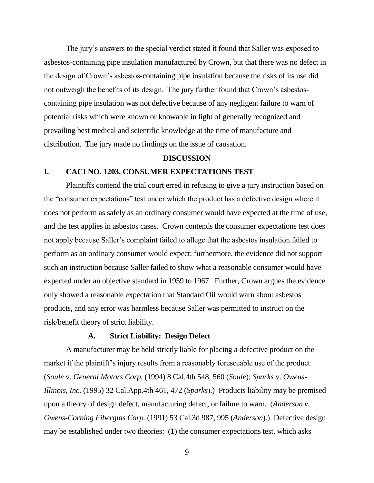The jury's answers to the special verdict stated it found that Saller was exposed to asbestos-containing pipe insulation manufactured by Crown, but that there was no defect in the design of Crown"s asbestos-containing pipe insulation because the risks of its use did not outweigh the benefits of its design. The jury further found that Crown"s asbestoscontaining pipe insulation was not defective because of any negligent failure to warn of potential risks which were known or knowable in light of generally recognized and prevailing best medical and scientific knowledge at the time of manufacture and distribution. The jury made no findings on the issue of causation.

#### **DISCUSSION**

## **I. CACI NO. 1203, CONSUMER EXPECTATIONS TEST**

Plaintiffs contend the trial court erred in refusing to give a jury instruction based on the "consumer expectations" test under which the product has a defective design where it does not perform as safely as an ordinary consumer would have expected at the time of use, and the test applies in asbestos cases. Crown contends the consumer expectations test does not apply because Saller"s complaint failed to allege that the asbestos insulation failed to perform as an ordinary consumer would expect; furthermore, the evidence did not support such an instruction because Saller failed to show what a reasonable consumer would have expected under an objective standard in 1959 to 1967. Further, Crown argues the evidence only showed a reasonable expectation that Standard Oil would warn about asbestos products, and any error was harmless because Saller was permitted to instruct on the risk/benefit theory of strict liability.

### **A. Strict Liability: Design Defect**

A manufacturer may be held strictly liable for placing a defective product on the market if the plaintiff's injury results from a reasonably fore seeable use of the product. (*Soule* v. *General Motors Corp.* (1994) 8 Cal.4th 548, 560 (*Soule*); *Sparks* v. *Owens-Illinois, Inc.* (1995) 32 Cal.App.4th 461, 472 (*Sparks*).) Products liability may be premised upon a theory of design defect, manufacturing defect, or failure to warn. (*Anderson v. Owens-Corning Fiberglas Corp.* (1991) 53 Cal.3d 987, 995 (*Anderson*).) Defective design may be established under two theories: (1) the consumer expectations test, which asks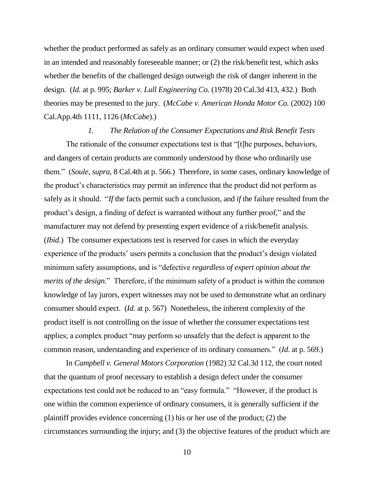whether the product performed as safely as an ordinary consumer would expect when used in an intended and reasonably foreseeable manner; or (2) the risk/benefit test, which asks whether the benefits of the challenged design outweigh the risk of danger inherent in the design. (*Id.* at p. 995; *Barker v. Lull Engineering Co.* (1978) 20 Cal.3d 413, 432.) Both theories may be presented to the jury. (*McCabe v. American Honda Motor Co.* (2002) 100 Cal.App.4th 1111, 1126 (*McCabe*).)

### *1. The Relation of the Consumer Expectations and Risk Benefit Tests*

The rationale of the consumer expectations test is that "[t]he purposes, behaviors, and dangers of certain products are commonly understood by those who ordinarily use them." (*Soule*, *supra*, 8 Cal.4th at p. 566.) Therefore, in some cases, ordinary knowledge of the product"s characteristics may permit an inference that the product did not perform as safely as it should. "*If* the facts permit such a conclusion, and *if* the failure resulted from the product"s design, a finding of defect is warranted without any further proof," and the manufacturer may not defend by presenting expert evidence of a risk/benefit analysis. (*Ibid.*) The consumer expectations test is reserved for cases in which the everyday experience of the products' users permits a conclusion that the product's design violated minimum safety assumptions, and is "defective *regardless of expert opinion about the merits of the design.*" Therefore, if the minimum safety of a product is within the common knowledge of lay jurors, expert witnesses may not be used to demonstrate what an ordinary consumer should expect. (*Id.* at p. 567) Nonetheless, the inherent complexity of the product itself is not controlling on the issue of whether the consumer expectations test applies; a complex product "may perform so unsafely that the defect is apparent to the common reason, understanding and experience of its ordinary consumers." (*Id*. at p. 569.)

In *Campbell v. General Motors Corporation* (1982) 32 Cal.3d 112, the court noted that the quantum of proof necessary to establish a design defect under the consumer expectations test could not be reduced to an "easy formula." "However, if the product is one within the common experience of ordinary consumers, it is generally sufficient if the plaintiff provides evidence concerning (1) his or her use of the product; (2) the circumstances surrounding the injury; and (3) the objective features of the product which are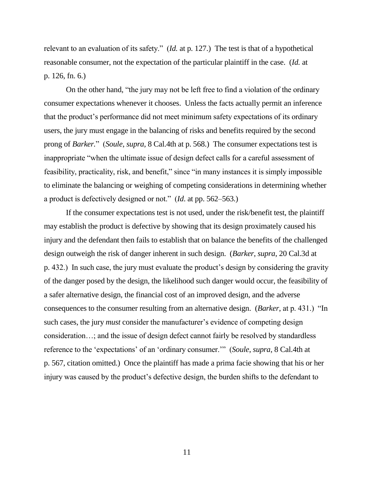relevant to an evaluation of its safety." (*Id.* at p. 127.) The test is that of a hypothetical reasonable consumer, not the expectation of the particular plaintiff in the case. (*Id.* at p. 126, fn. 6.)

On the other hand, "the jury may not be left free to find a violation of the ordinary consumer expectations whenever it chooses. Unless the facts actually permit an inference that the product"s performance did not meet minimum safety expectations of its ordinary users, the jury must engage in the balancing of risks and benefits required by the second prong of *Barker.*" (*Soule*, *supra*, 8 Cal.4th at p. 568.) The consumer expectations test is inappropriate "when the ultimate issue of design defect calls for a careful assessment of feasibility, practicality, risk, and benefit," since "in many instances it is simply impossible to eliminate the balancing or weighing of competing considerations in determining whether a product is defectively designed or not." (*Id*. at pp. 562–563.)

If the consumer expectations test is not used, under the risk/benefit test, the plaintiff may establish the product is defective by showing that its design proximately caused his injury and the defendant then fails to establish that on balance the benefits of the challenged design outweigh the risk of danger inherent in such design. (*Barker*, *supra*, 20 Cal.3d at p. 432.) In such case, the jury must evaluate the product's design by considering the gravity of the danger posed by the design, the likelihood such danger would occur, the feasibility of a safer alternative design, the financial cost of an improved design, and the adverse consequences to the consumer resulting from an alternative design. (*Barker*, at p. 431.) "In such cases, the jury *must* consider the manufacturer's evidence of competing design consideration…; and the issue of design defect cannot fairly be resolved by standardless reference to the "expectations" of an "ordinary consumer."" (*Soule*, *supra*, 8 Cal.4th at p. 567, citation omitted.) Once the plaintiff has made a prima facie showing that his or her injury was caused by the product"s defective design, the burden shifts to the defendant to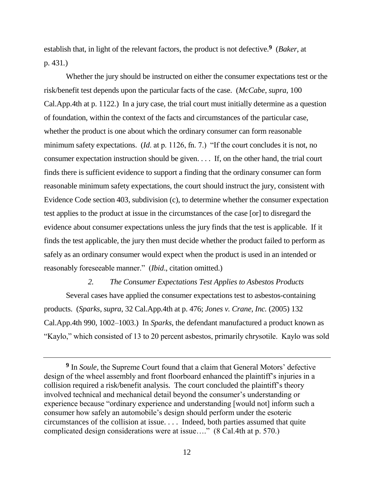establish that, in light of the relevant factors, the product is not defective.**<sup>9</sup>** (*Baker*, at p. 431*.*)

Whether the jury should be instructed on either the consumer expectations test or the risk/benefit test depends upon the particular facts of the case. (*McCabe*, *supra*, 100 Cal.App.4th at p. 1122.) In a jury case, the trial court must initially determine as a question of foundation, within the context of the facts and circumstances of the particular case, whether the product is one about which the ordinary consumer can form reasonable minimum safety expectations. (*Id*. at p. 1126, fn. 7.) "If the court concludes it is not, no consumer expectation instruction should be given. . . . If, on the other hand, the trial court finds there is sufficient evidence to support a finding that the ordinary consumer can form reasonable minimum safety expectations, the court should instruct the jury, consistent with Evidence Code section 403, subdivision (c), to determine whether the consumer expectation test applies to the product at issue in the circumstances of the case [or] to disregard the evidence about consumer expectations unless the jury finds that the test is applicable. If it finds the test applicable, the jury then must decide whether the product failed to perform as safely as an ordinary consumer would expect when the product is used in an intended or reasonably foreseeable manner." (*Ibid*., citation omitted.)

## *2. The Consumer Expectations Test Applies to Asbestos Products*

Several cases have applied the consumer expectations test to asbestos-containing products. (*Sparks*, *supra*, 32 Cal.App.4th at p. 476; *Jones v. Crane, Inc.* (2005) 132 Cal.App.4th 990, 1002–1003.) In *Sparks,* the defendant manufactured a product known as "Kaylo," which consisted of 13 to 20 percent asbestos, primarily chrysotile. Kaylo was sold

<sup>&</sup>lt;sup>9</sup> In *Soule*, the Supreme Court found that a claim that General Motors' defective design of the wheel assembly and front floorboard enhanced the plaintiff's injuries in a collision required a risk/benefit analysis. The court concluded the plaintiff"s theory involved technical and mechanical detail beyond the consumer's understanding or experience because "ordinary experience and understanding [would not] inform such a consumer how safely an automobile"s design should perform under the esoteric circumstances of the collision at issue. . . . Indeed, both parties assumed that quite complicated design considerations were at issue…." (8 Cal.4th at p. 570.)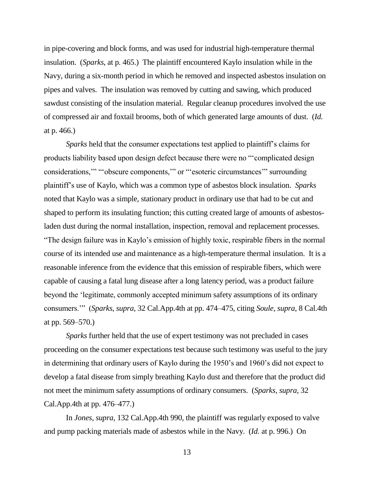in pipe-covering and block forms, and was used for industrial high-temperature thermal insulation. (*Sparks*, at p. 465.) The plaintiff encountered Kaylo insulation while in the Navy, during a six-month period in which he removed and inspected asbestos insulation on pipes and valves. The insulation was removed by cutting and sawing, which produced sawdust consisting of the insulation material. Regular cleanup procedures involved the use of compressed air and foxtail brooms, both of which generated large amounts of dust. (*Id.*  at p. 466.)

*Sparks* held that the consumer expectations test applied to plaintiff's claims for products liability based upon design defect because there were no ""complicated design considerations,"" ""obscure components,"" or ""esoteric circumstances"" surrounding plaintiff"s use of Kaylo, which was a common type of asbestos block insulation. *Sparks*  noted that Kaylo was a simple, stationary product in ordinary use that had to be cut and shaped to perform its insulating function; this cutting created large of amounts of asbestosladen dust during the normal installation, inspection, removal and replacement processes. "The design failure was in Kaylo"s emission of highly toxic, respirable fibers in the normal course of its intended use and maintenance as a high-temperature thermal insulation. It is a reasonable inference from the evidence that this emission of respirable fibers, which were capable of causing a fatal lung disease after a long latency period, was a product failure beyond the "legitimate, commonly accepted minimum safety assumptions of its ordinary consumers."" (*Sparks*, *supra*, 32 Cal.App.4th at pp. 474–475, citing *Soule*, *supra*, 8 Cal.4th at pp. 569–570.)

*Sparks* further held that the use of expert testimony was not precluded in cases proceeding on the consumer expectations test because such testimony was useful to the jury in determining that ordinary users of Kaylo during the 1950"s and 1960"s did not expect to develop a fatal disease from simply breathing Kaylo dust and therefore that the product did not meet the minimum safety assumptions of ordinary consumers. (*Sparks*, *supra*, 32 Cal.App.4th at pp. 476–477.)

In *Jones*, *supra*, 132 Cal.App.4th 990, the plaintiff was regularly exposed to valve and pump packing materials made of asbestos while in the Navy. (*Id.* at p. 996.) On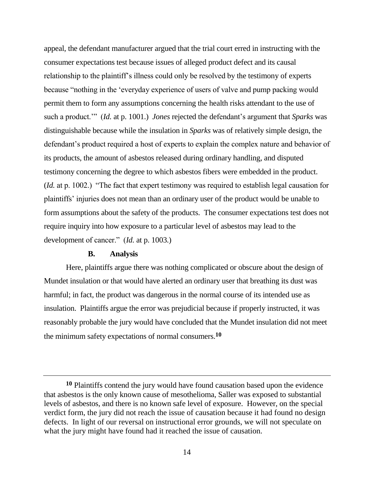appeal, the defendant manufacturer argued that the trial court erred in instructing with the consumer expectations test because issues of alleged product defect and its causal relationship to the plaintiff"s illness could only be resolved by the testimony of experts because "nothing in the "everyday experience of users of valve and pump packing would permit them to form any assumptions concerning the health risks attendant to the use of such a product."" (*Id.* at p. 1001.) *Jones* rejected the defendant"s argument that *Sparks* was distinguishable because while the insulation in *Sparks* was of relatively simple design, the defendant's product required a host of experts to explain the complex nature and behavior of its products, the amount of asbestos released during ordinary handling, and disputed testimony concerning the degree to which asbestos fibers were embedded in the product. (*Id.* at p. 1002.) "The fact that expert testimony was required to establish legal causation for plaintiffs" injuries does not mean than an ordinary user of the product would be unable to form assumptions about the safety of the products. The consumer expectations test does not require inquiry into how exposure to a particular level of asbestos may lead to the development of cancer." (*Id.* at p. 1003.)

## **B. Analysis**

Here, plaintiffs argue there was nothing complicated or obscure about the design of Mundet insulation or that would have alerted an ordinary user that breathing its dust was harmful; in fact, the product was dangerous in the normal course of its intended use as insulation. Plaintiffs argue the error was prejudicial because if properly instructed, it was reasonably probable the jury would have concluded that the Mundet insulation did not meet the minimum safety expectations of normal consumers.**<sup>10</sup>**

**<sup>10</sup>** Plaintiffs contend the jury would have found causation based upon the evidence that asbestos is the only known cause of mesothelioma, Saller was exposed to substantial levels of asbestos, and there is no known safe level of exposure. However, on the special verdict form, the jury did not reach the issue of causation because it had found no design defects. In light of our reversal on instructional error grounds, we will not speculate on what the jury might have found had it reached the issue of causation.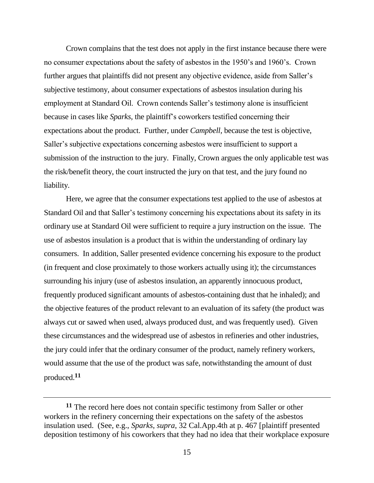Crown complains that the test does not apply in the first instance because there were no consumer expectations about the safety of asbestos in the 1950"s and 1960"s. Crown further argues that plaintiffs did not present any objective evidence, aside from Saller's subjective testimony, about consumer expectations of asbestos insulation during his employment at Standard Oil. Crown contends Saller's testimony alone is insufficient because in cases like *Sparks,* the plaintiff"s coworkers testified concerning their expectations about the product. Further, under *Campbell,* because the test is objective, Saller"s subjective expectations concerning asbestos were insufficient to support a submission of the instruction to the jury. Finally, Crown argues the only applicable test was the risk/benefit theory, the court instructed the jury on that test, and the jury found no liability.

Here, we agree that the consumer expectations test applied to the use of asbestos at Standard Oil and that Saller"s testimony concerning his expectations about its safety in its ordinary use at Standard Oil were sufficient to require a jury instruction on the issue. The use of asbestos insulation is a product that is within the understanding of ordinary lay consumers. In addition, Saller presented evidence concerning his exposure to the product (in frequent and close proximately to those workers actually using it); the circumstances surrounding his injury (use of asbestos insulation, an apparently innocuous product, frequently produced significant amounts of asbestos-containing dust that he inhaled); and the objective features of the product relevant to an evaluation of its safety (the product was always cut or sawed when used, always produced dust, and was frequently used). Given these circumstances and the widespread use of asbestos in refineries and other industries, the jury could infer that the ordinary consumer of the product, namely refinery workers, would assume that the use of the product was safe, notwithstanding the amount of dust produced.**<sup>11</sup>**

**<sup>11</sup>** The record here does not contain specific testimony from Saller or other workers in the refinery concerning their expectations on the safety of the asbestos insulation used. (See, e.g., *Sparks*, *supra*, 32 Cal.App.4th at p. 467 [plaintiff presented deposition testimony of his coworkers that they had no idea that their workplace exposure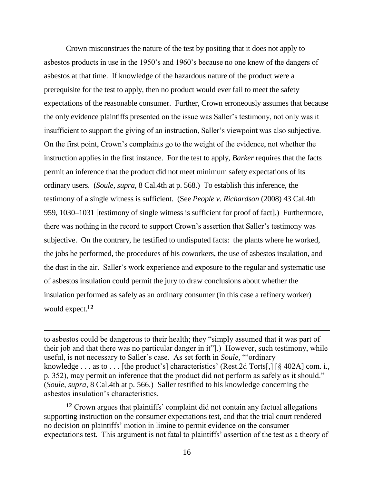Crown misconstrues the nature of the test by positing that it does not apply to asbestos products in use in the 1950"s and 1960"s because no one knew of the dangers of asbestos at that time. If knowledge of the hazardous nature of the product were a prerequisite for the test to apply, then no product would ever fail to meet the safety expectations of the reasonable consumer. Further, Crown erroneously assumes that because the only evidence plaintiffs presented on the issue was Saller"s testimony, not only was it insufficient to support the giving of an instruction, Saller's viewpoint was also subjective. On the first point, Crown"s complaints go to the weight of the evidence, not whether the instruction applies in the first instance. For the test to apply, *Barker* requires that the facts permit an inference that the product did not meet minimum safety expectations of its ordinary users. (*Soule*, *supra*, 8 Cal.4th at p. 568.) To establish this inference, the testimony of a single witness is sufficient. (See *People v. Richardson* (2008) 43 Cal.4th 959, 1030–1031 [testimony of single witness is sufficient for proof of fact].) Furthermore, there was nothing in the record to support Crown"s assertion that Saller"s testimony was subjective. On the contrary, he testified to undisputed facts: the plants where he worked, the jobs he performed, the procedures of his coworkers, the use of asbestos insulation, and the dust in the air. Saller"s work experience and exposure to the regular and systematic use of asbestos insulation could permit the jury to draw conclusions about whether the insulation performed as safely as an ordinary consumer (in this case a refinery worker) would expect.**<sup>12</sup>**

to asbestos could be dangerous to their health; they "simply assumed that it was part of their job and that there was no particular danger in it"].) However, such testimony, while useful, is not necessary to Saller's case. As set forth in *Soule*, "ordinary knowledge  $\dots$  as to  $\dots$  [the product's] characteristics' (Rest.2d Torts[,] [§ 402A] com. i., p. 352), may permit an inference that the product did not perform as safely as it should." (*Soule*, *supra*, 8 Cal.4th at p. 566.) Saller testified to his knowledge concerning the asbestos insulation"s characteristics.

 $\overline{a}$ 

<sup>12</sup> Crown argues that plaintiffs' complaint did not contain any factual allegations supporting instruction on the consumer expectations test, and that the trial court rendered no decision on plaintiffs" motion in limine to permit evidence on the consumer expectations test. This argument is not fatal to plaintiffs' assertion of the test as a theory of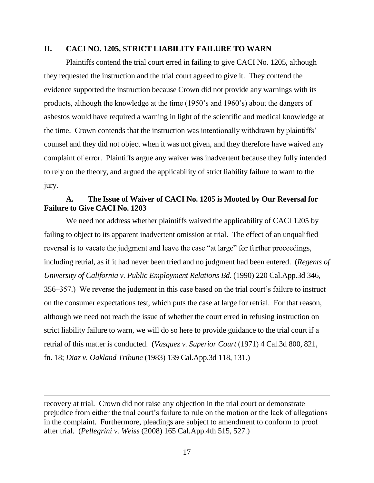### **II. CACI NO. 1205, STRICT LIABILITY FAILURE TO WARN**

Plaintiffs contend the trial court erred in failing to give CACI No. 1205, although they requested the instruction and the trial court agreed to give it. They contend the evidence supported the instruction because Crown did not provide any warnings with its products, although the knowledge at the time (1950"s and 1960"s) about the dangers of asbestos would have required a warning in light of the scientific and medical knowledge at the time. Crown contends that the instruction was intentionally withdrawn by plaintiffs" counsel and they did not object when it was not given, and they therefore have waived any complaint of error. Plaintiffs argue any waiver was inadvertent because they fully intended to rely on the theory, and argued the applicability of strict liability failure to warn to the jury.

# **A. The Issue of Waiver of CACI No. 1205 is Mooted by Our Reversal for Failure to Give CACI No. 1203**

We need not address whether plaintiffs waived the applicability of CACI 1205 by failing to object to its apparent inadvertent omission at trial. The effect of an unqualified reversal is to vacate the judgment and leave the case "at large" for further proceedings, including retrial, as if it had never been tried and no judgment had been entered. (*Regents of University of California v. Public Employment Relations Bd.* (1990) 220 Cal.App.3d 346, 356–357.) We reverse the judgment in this case based on the trial court"s failure to instruct on the consumer expectations test, which puts the case at large for retrial. For that reason, although we need not reach the issue of whether the court erred in refusing instruction on strict liability failure to warn, we will do so here to provide guidance to the trial court if a retrial of this matter is conducted. (*Vasquez v. Superior Court* (1971) 4 Cal.3d 800, 821, fn. 18; *Diaz v. Oakland Tribune* (1983) 139 Cal.App.3d 118, 131.)

recovery at trial. Crown did not raise any objection in the trial court or demonstrate prejudice from either the trial court"s failure to rule on the motion or the lack of allegations in the complaint. Furthermore, pleadings are subject to amendment to conform to proof after trial. (*Pellegrini v. Weiss* (2008) 165 Cal.App.4th 515, 527.)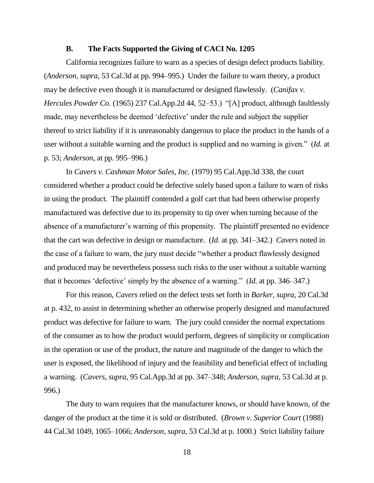### **B. The Facts Supported the Giving of CACI No. 1205**

California recognizes failure to warn as a species of design defect products liability. (*Anderson*, *supra*, 53 Cal.3d at pp. 994–995.) Under the failure to warn theory, a product may be defective even though it is manufactured or designed flawlessly. (*Canifax v. Hercules Powder Co.* (1965) 237 Cal.App.2d 44, 52–53.) "[A] product, although faultlessly made, may nevertheless be deemed 'defective' under the rule and subject the supplier thereof to strict liability if it is unreasonably dangerous to place the product in the hands of a user without a suitable warning and the product is supplied and no warning is given." (*Id.* at p. 53; *Anderson*, at pp. 995–996.)

In *Cavers v. Cashman Motor Sales, Inc.* (1979) 95 Cal.App.3d 338, the court considered whether a product could be defective solely based upon a failure to warn of risks in using the product. The plaintiff contended a golf cart that had been otherwise properly manufactured was defective due to its propensity to tip over when turning because of the absence of a manufacturer's warning of this propensity. The plaintiff presented no evidence that the cart was defective in design or manufacture. (*Id.* at pp. 341–342.) *Cavers* noted in the case of a failure to warn, the jury must decide "whether a product flawlessly designed and produced may be nevertheless possess such risks to the user without a suitable warning that it becomes "defective" simply by the absence of a warning." (*Id.* at pp. 346–347.)

For this reason, *Cavers* relied on the defect tests set forth in *Barker*, *supra*, 20 Cal.3d at p. 432, to assist in determining whether an otherwise properly designed and manufactured product was defective for failure to warn. The jury could consider the normal expectations of the consumer as to how the product would perform, degrees of simplicity or complication in the operation or use of the product, the nature and magnitude of the danger to which the user is exposed, the likelihood of injury and the feasibility and beneficial effect of including a warning. (*Cavers*, *supra*, 95 Cal.App.3d at pp. 347–348; *Anderson*, *supra*, 53 Cal.3d at p. 996.)

The duty to warn requires that the manufacturer knows, or should have known, of the danger of the product at the time it is sold or distributed. (*Brown v. Superior Court* (1988) 44 Cal.3d 1049, 1065–1066; *Anderson*, *supra*, 53 Cal.3d at p. 1000.) Strict liability failure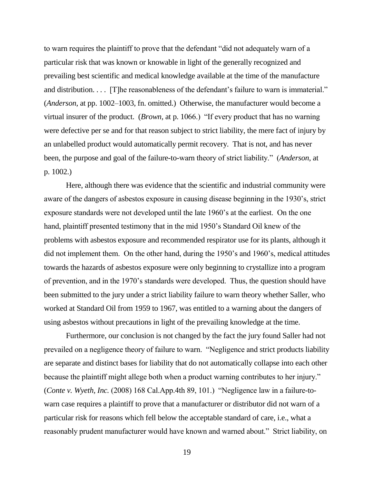to warn requires the plaintiff to prove that the defendant "did not adequately warn of a particular risk that was known or knowable in light of the generally recognized and prevailing best scientific and medical knowledge available at the time of the manufacture and distribution. . . . [T] he reasonableness of the defendant's failure to warn is immaterial." (*Anderson*, at pp. 1002–1003, fn. omitted.) Otherwise, the manufacturer would become a virtual insurer of the product. (*Brown*, at p. 1066.) "If every product that has no warning were defective per se and for that reason subject to strict liability, the mere fact of injury by an unlabelled product would automatically permit recovery. That is not, and has never been, the purpose and goal of the failure-to-warn theory of strict liability." (*Anderson*, at p. 1002.)

Here, although there was evidence that the scientific and industrial community were aware of the dangers of asbestos exposure in causing disease beginning in the 1930"s, strict exposure standards were not developed until the late 1960"s at the earliest. On the one hand, plaintiff presented testimony that in the mid 1950"s Standard Oil knew of the problems with asbestos exposure and recommended respirator use for its plants, although it did not implement them. On the other hand, during the 1950"s and 1960"s, medical attitudes towards the hazards of asbestos exposure were only beginning to crystallize into a program of prevention, and in the 1970"s standards were developed. Thus, the question should have been submitted to the jury under a strict liability failure to warn theory whether Saller, who worked at Standard Oil from 1959 to 1967, was entitled to a warning about the dangers of using asbestos without precautions in light of the prevailing knowledge at the time.

Furthermore, our conclusion is not changed by the fact the jury found Saller had not prevailed on a negligence theory of failure to warn. "Negligence and strict products liability are separate and distinct bases for liability that do not automatically collapse into each other because the plaintiff might allege both when a product warning contributes to her injury." (*Conte v. Wyeth, Inc.* (2008) 168 Cal.App.4th 89, 101.) "Negligence law in a failure-towarn case requires a plaintiff to prove that a manufacturer or distributor did not warn of a particular risk for reasons which fell below the acceptable standard of care, i.e., what a reasonably prudent manufacturer would have known and warned about." Strict liability, on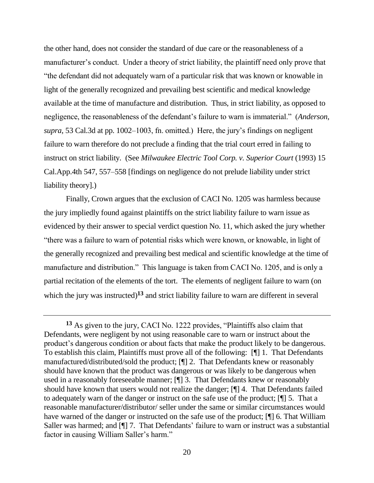the other hand, does not consider the standard of due care or the reasonableness of a manufacturer's conduct. Under a theory of strict liability, the plaintiff need only prove that "the defendant did not adequately warn of a particular risk that was known or knowable in light of the generally recognized and prevailing best scientific and medical knowledge available at the time of manufacture and distribution. Thus, in strict liability, as opposed to negligence, the reasonableness of the defendant"s failure to warn is immaterial." (*Anderson*, *supra*, 53 Cal.3d at pp. 1002–1003, fn. omitted.) Here, the jury's findings on negligent failure to warn therefore do not preclude a finding that the trial court erred in failing to instruct on strict liability. (See *Milwaukee Electric Tool Corp. v. Superior Court* (1993) 15 Cal.App.4th 547, 557–558 [findings on negligence do not prelude liability under strict liability theory].)

Finally, Crown argues that the exclusion of CACI No. 1205 was harmless because the jury impliedly found against plaintiffs on the strict liability failure to warn issue as evidenced by their answer to special verdict question No. 11, which asked the jury whether "there was a failure to warn of potential risks which were known, or knowable, in light of the generally recognized and prevailing best medical and scientific knowledge at the time of manufacture and distribution." This language is taken from CACI No. 1205, and is only a partial recitation of the elements of the tort. The elements of negligent failure to warn (on which the jury was instructed)<sup>13</sup> and strict liability failure to warn are different in several

**<sup>13</sup>** As given to the jury, CACI No. 1222 provides, "Plaintiffs also claim that Defendants, were negligent by not using reasonable care to warn or instruct about the product"s dangerous condition or about facts that make the product likely to be dangerous. To establish this claim, Plaintiffs must prove all of the following: [¶] 1. That Defendants manufactured/distributed/sold the product; [¶] 2. That Defendants knew or reasonably should have known that the product was dangerous or was likely to be dangerous when used in a reasonably foreseeable manner; [¶] 3. That Defendants knew or reasonably should have known that users would not realize the danger; [¶] 4. That Defendants failed to adequately warn of the danger or instruct on the safe use of the product; [¶] 5. That a reasonable manufacturer/distributor/ seller under the same or similar circumstances would have warned of the danger or instructed on the safe use of the product; [¶] 6. That William Saller was harmed; and [¶] 7. That Defendants' failure to warn or instruct was a substantial factor in causing William Saller's harm."